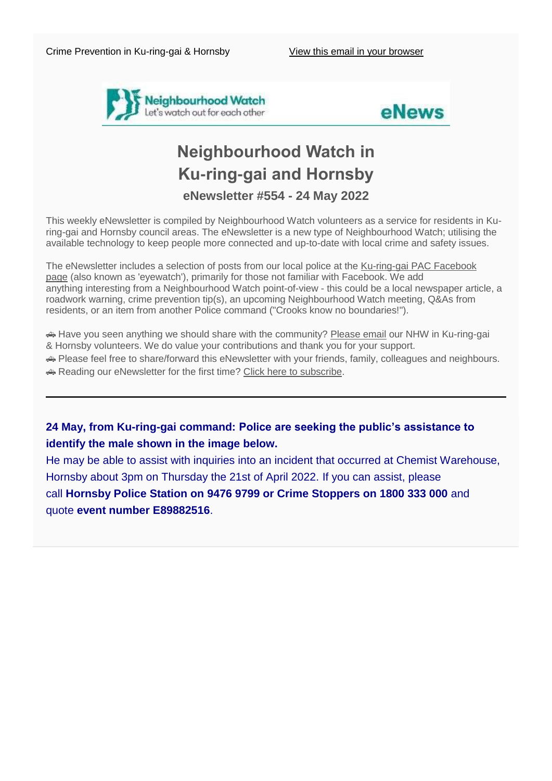



# **Neighbourhood Watch in Ku-ring-gai and Hornsby eNewsletter #554 - 24 May 2022**

This weekly eNewsletter is compiled by Neighbourhood Watch volunteers as a service for residents in Kuring-gai and Hornsby council areas. The eNewsletter is a new type of Neighbourhood Watch; utilising the available technology to keep people more connected and up-to-date with local crime and safety issues.

The eNewsletter includes a selection of posts from our local police at the [Ku-ring-gai PAC Facebook](https://www.facebook.com/KuringGaiPAC/)  [page](https://www.facebook.com/KuringGaiPAC/) (also known as 'eyewatch'), primarily for those not familiar with Facebook. We add anything interesting from a Neighbourhood Watch point-of-view - this could be a local newspaper article, a roadwork warning, crime prevention tip(s), an upcoming Neighbourhood Watch meeting, Q&As from residents, or an item from another Police command ("Crooks know no boundaries!").

 Have you seen anything we should share with the community? [Please email](mailto:NHWKuringgaiHornsby@gmail.com?subject=eNewsletter%20feedback) our NHW in Ku-ring-gai & Hornsby volunteers. We do value your contributions and thank you for your support.

Please feel free to share/forward this eNewsletter with your friends, family, colleagues and neighbours.

Reading our eNewsletter for the first time? [Click here to](http://eepurl.com/dfOGJz) subscribe.

# **24 May, from Ku-ring-gai command: Police are seeking the public's assistance to identify the male shown in the image below.**

He may be able to assist with inquiries into an incident that occurred at Chemist Warehouse, Hornsby about 3pm on Thursday the 21st of April 2022. If you can assist, please call **Hornsby Police Station on 9476 9799 or Crime Stoppers on 1800 333 000** and quote **event number E89882516**.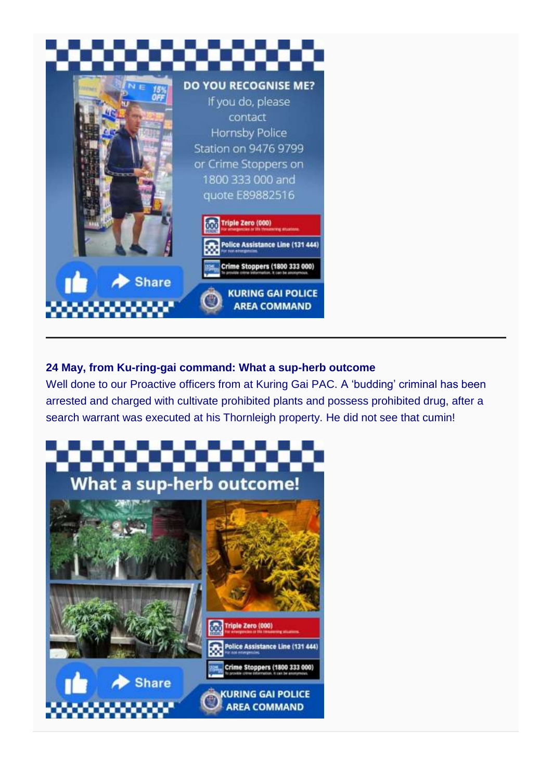

# **24 May, from Ku-ring-gai command: What a sup-herb outcome**

Well done to our Proactive officers from at Kuring Gai PAC. A 'budding' criminal has been arrested and charged with cultivate prohibited plants and possess prohibited drug, after a search warrant was executed at his Thornleigh property. He did not see that cumin!

**AREA COMMAND** 

# **What a sup-herb outcome!**

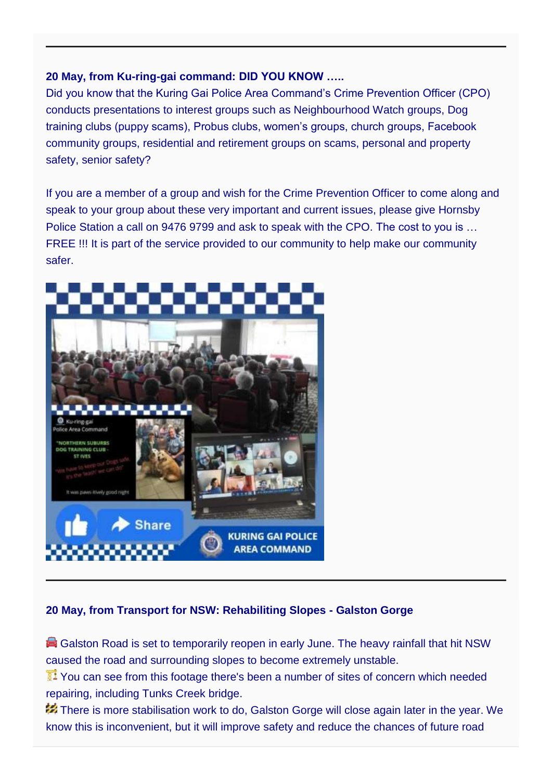# **20 May, from Ku-ring-gai command: DID YOU KNOW …..**

Did you know that the Kuring Gai Police Area Command's Crime Prevention Officer (CPO) conducts presentations to interest groups such as Neighbourhood Watch groups, Dog training clubs (puppy scams), Probus clubs, women's groups, church groups, Facebook community groups, residential and retirement groups on scams, personal and property safety, senior safety?

If you are a member of a group and wish for the Crime Prevention Officer to come along and speak to your group about these very important and current issues, please give Hornsby Police Station a call on 9476 9799 and ask to speak with the CPO. The cost to you is … FREE !!! It is part of the service provided to our community to help make our community safer.



# **20 May, from Transport for NSW: Rehabiliting Slopes - Galston Gorge**

Galston Road is set to temporarily reopen in early June. The heavy rainfall that hit NSW caused the road and surrounding slopes to become extremely unstable.

You can see from this footage there's been a number of sites of concern which needed repairing, including Tunks Creek bridge.

There is more stabilisation work to do, Galston Gorge will close again later in the year. We know this is inconvenient, but it will improve safety and reduce the chances of future road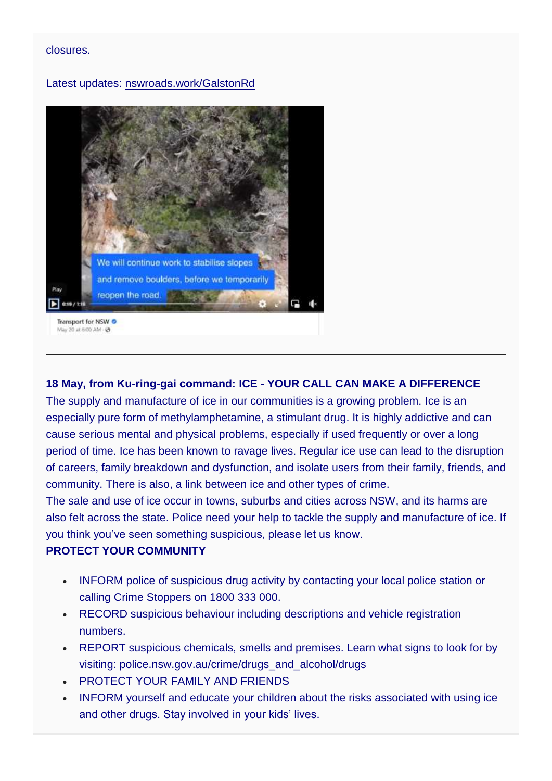#### closures.

#### Latest updates: [nswroads.work/GalstonRd](https://roads-waterways.transport.nsw.gov.au/projects/galston-gorge-hornsby-hts-galston/index.html)



# **18 May, from Ku-ring-gai command: ICE - YOUR CALL CAN MAKE A DIFFERENCE**

The supply and manufacture of ice in our communities is a growing problem. Ice is an especially pure form of methylamphetamine, a stimulant drug. It is highly addictive and can cause serious mental and physical problems, especially if used frequently or over a long period of time. Ice has been known to ravage lives. Regular ice use can lead to the disruption of careers, family breakdown and dysfunction, and isolate users from their family, friends, and community. There is also, a link between ice and other types of crime.

The sale and use of ice occur in towns, suburbs and cities across NSW, and its harms are also felt across the state. Police need your help to tackle the supply and manufacture of ice. If you think you've seen something suspicious, please let us know.

#### **PROTECT YOUR COMMUNITY**

- INFORM police of suspicious drug activity by contacting your local police station or calling Crime Stoppers on 1800 333 000.
- RECORD suspicious behaviour including descriptions and vehicle registration numbers.
- REPORT suspicious chemicals, smells and premises. Learn what signs to look for by visiting: [police.nsw.gov.au/crime/drugs\\_and\\_alcohol/drugs](https://www.police.nsw.gov.au/crime/drugs_and_alcohol/drugs)
- PROTECT YOUR FAMILY AND FRIENDS
- INFORM yourself and educate your children about the risks associated with using ice and other drugs. Stay involved in your kids' lives.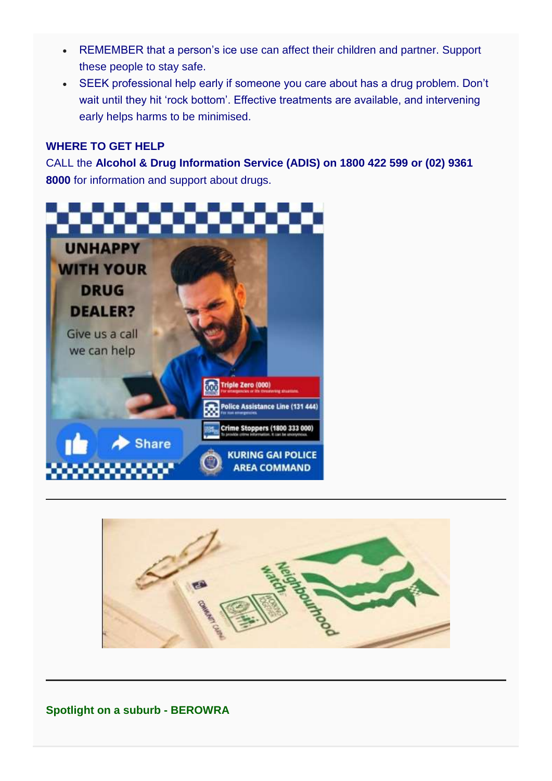- REMEMBER that a person's ice use can affect their children and partner. Support these people to stay safe.
- SEEK professional help early if someone you care about has a drug problem. Don't wait until they hit 'rock bottom'. Effective treatments are available, and intervening early helps harms to be minimised.

## **WHERE TO GET HELP**

CALL the **Alcohol & Drug Information Service (ADIS) on 1800 422 599 or (02) 9361 8000** for information and support about drugs.





**Spotlight on a suburb - BEROWRA**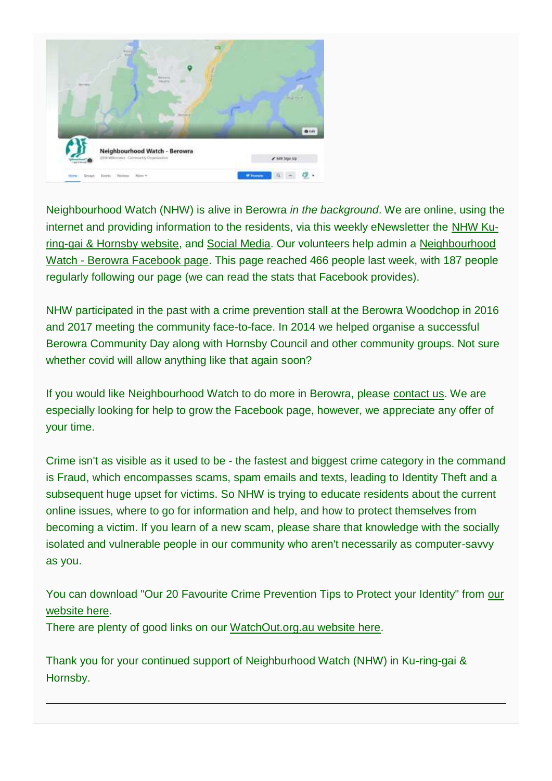

Neighbourhood Watch (NHW) is alive in Berowra *in the background*. We are online, using the internet and providing information to the residents, via this weekly eNewsletter the [NHW Ku](https://au-nhwkuringgaihornsby.org/)[ring-gai & Hornsby website,](https://au-nhwkuringgaihornsby.org/) and [Social Media.](https://www.facebook.com/NHWKuringgaiHornsby/) Our volunteers help admin a [Neighbourhood](https://www.facebook.com/NHWBerowra)  Watch - [Berowra Facebook page.](https://www.facebook.com/NHWBerowra) This page reached 466 people last week, with 187 people regularly following our page (we can read the stats that Facebook provides).

NHW participated in the past with a crime prevention stall at the Berowra Woodchop in 2016 and 2017 meeting the community face-to-face. In 2014 we helped organise a successful Berowra Community Day along with Hornsby Council and other community groups. Not sure whether covid will allow anything like that again soon?

If you would like Neighbourhood Watch to do more in Berowra, please [contact us.](mailto:NHWKuringgaiHornsby@gmail.com?subject=Berowra%20NHW%20help) We are especially looking for help to grow the Facebook page, however, we appreciate any offer of your time.

Crime isn't as visible as it used to be - the fastest and biggest crime category in the command is Fraud, which encompasses scams, spam emails and texts, leading to Identity Theft and a subsequent huge upset for victims. So NHW is trying to educate residents about the current online issues, where to go for information and help, and how to protect themselves from becoming a victim. If you learn of a new scam, please share that knowledge with the socially isolated and vulnerable people in our community who aren't necessarily as computer-savvy as you.

You can download "Our 20 Favourite Crime Prevention Tips to Protect your Identity" from [our](https://au-nhwkuringgaihornsby.org/tips/)  [website here.](https://au-nhwkuringgaihornsby.org/tips/)

There are plenty of good links on our [WatchOut.org.au website here.](https://watchout.org.au/fraud/)

Thank you for your continued support of Neighburhood Watch (NHW) in Ku-ring-gai & Hornsby.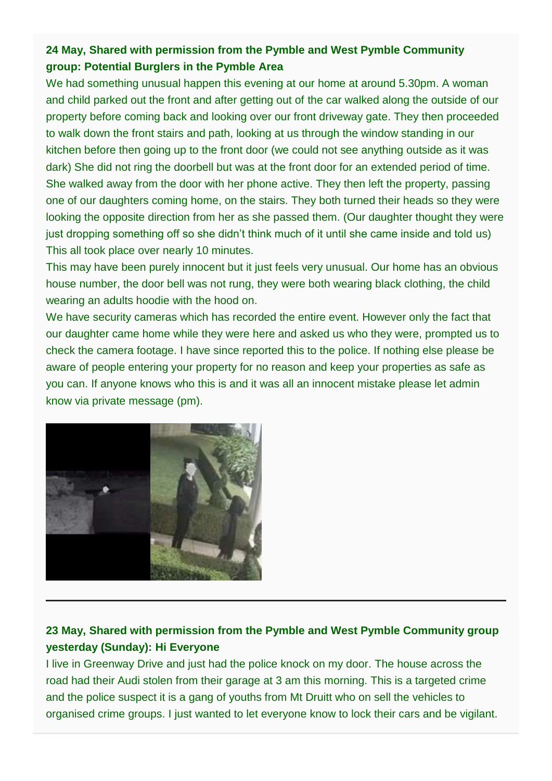# **24 May, Shared with permission from the Pymble and West Pymble Community group: Potential Burglers in the Pymble Area**

We had something unusual happen this evening at our home at around 5.30pm. A woman and child parked out the front and after getting out of the car walked along the outside of our property before coming back and looking over our front driveway gate. They then proceeded to walk down the front stairs and path, looking at us through the window standing in our kitchen before then going up to the front door (we could not see anything outside as it was dark) She did not ring the doorbell but was at the front door for an extended period of time. She walked away from the door with her phone active. They then left the property, passing one of our daughters coming home, on the stairs. They both turned their heads so they were looking the opposite direction from her as she passed them. (Our daughter thought they were just dropping something off so she didn't think much of it until she came inside and told us) This all took place over nearly 10 minutes.

This may have been purely innocent but it just feels very unusual. Our home has an obvious house number, the door bell was not rung, they were both wearing black clothing, the child wearing an adults hoodie with the hood on.

We have security cameras which has recorded the entire event. However only the fact that our daughter came home while they were here and asked us who they were, prompted us to check the camera footage. I have since reported this to the police. If nothing else please be aware of people entering your property for no reason and keep your properties as safe as you can. If anyone knows who this is and it was all an innocent mistake please let admin know via private message (pm).



# **23 May, Shared with permission from the Pymble and West Pymble Community group yesterday (Sunday): Hi Everyone**

I live in Greenway Drive and just had the police knock on my door. The house across the road had their Audi stolen from their garage at 3 am this morning. This is a targeted crime and the police suspect it is a gang of youths from Mt Druitt who on sell the vehicles to organised crime groups. I just wanted to let everyone know to lock their cars and be vigilant.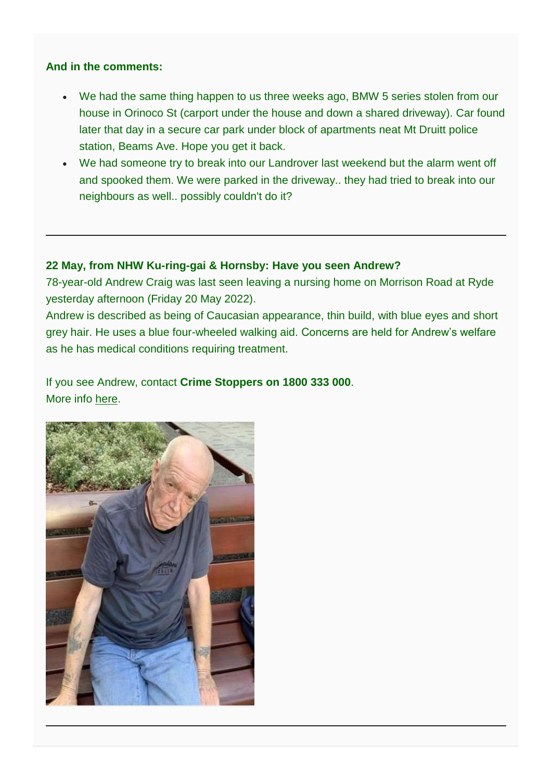### **And in the comments:**

- We had the same thing happen to us three weeks ago, BMW 5 series stolen from our house in Orinoco St (carport under the house and down a shared driveway). Car found later that day in a secure car park under block of apartments neat Mt Druitt police station, Beams Ave. Hope you get it back.
- We had someone try to break into our Landrover last weekend but the alarm went off and spooked them. We were parked in the driveway.. they had tried to break into our neighbours as well.. possibly couldn't do it?

#### **22 May, from NHW Ku-ring-gai & Hornsby: Have you seen Andrew?**

78-year-old Andrew Craig was last seen leaving a nursing home on Morrison Road at Ryde yesterday afternoon (Friday 20 May 2022).

Andrew is described as being of Caucasian appearance, thin build, with blue eyes and short grey hair. He uses a blue four-wheeled walking aid. Concerns are held for Andrew's welfare as he has medical conditions requiring treatment.

If you see Andrew, contact **Crime Stoppers on 1800 333 000**. More info [here.](https://www.police.nsw.gov.au/news/news_article?sq_content_src=%2BdXJsPWh0dHBzJTNBJTJGJTJGZWJpenByZC5wb2xpY2UubnN3Lmdvdi5hdSUyRm1lZGlhJTJGMTAxNTM4Lmh0bWwmYWxsPTE%3D)

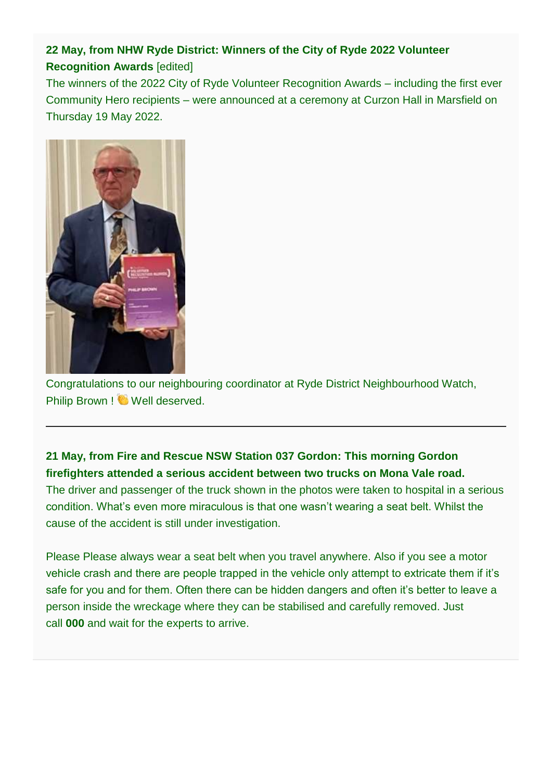# **22 May, from NHW Ryde District: Winners of the City of Ryde 2022 Volunteer Recognition Awards** [edited]

The winners of the 2022 City of Ryde Volunteer Recognition Awards – including the first ever Community Hero recipients – were announced at a ceremony at Curzon Hall in Marsfield on Thursday 19 May 2022.



Congratulations to our neighbouring coordinator at Ryde District Neighbourhood Watch, Philip Brown ! Well deserved.

# **21 May, from Fire and Rescue NSW Station 037 Gordon: This morning Gordon firefighters attended a serious accident between two trucks on Mona Vale road.**

The driver and passenger of the truck shown in the photos were taken to hospital in a serious condition. What's even more miraculous is that one wasn't wearing a seat belt. Whilst the cause of the accident is still under investigation.

Please Please always wear a seat belt when you travel anywhere. Also if you see a motor vehicle crash and there are people trapped in the vehicle only attempt to extricate them if it's safe for you and for them. Often there can be hidden dangers and often it's better to leave a person inside the wreckage where they can be stabilised and carefully removed. Just call **000** and wait for the experts to arrive.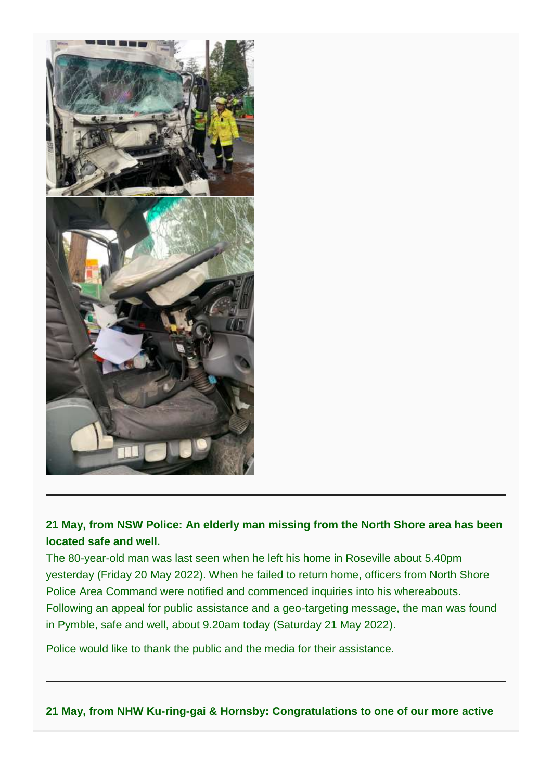

# **21 May, from NSW Police: An elderly man missing from the North Shore area has been located safe and well.**

The 80-year-old man was last seen when he left his home in Roseville about 5.40pm yesterday (Friday 20 May 2022). When he failed to return home, officers from North Shore Police Area Command were notified and commenced inquiries into his whereabouts. Following an appeal for public assistance and a geo-targeting message, the man was found in Pymble, safe and well, about 9.20am today (Saturday 21 May 2022).

Police would like to thank the public and the media for their assistance.

# **21 May, from NHW Ku-ring-gai & Hornsby: Congratulations to one of our more active**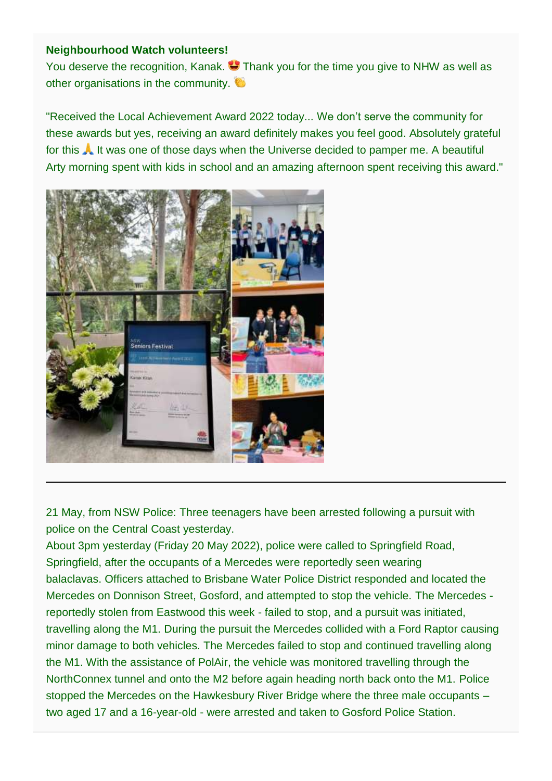#### **Neighbourhood Watch volunteers!**

You deserve the recognition, Kanak.  $\bullet$  Thank you for the time you give to NHW as well as other organisations in the community.

"Received the Local Achievement Award 2022 today... We don't serve the community for these awards but yes, receiving an award definitely makes you feel good. Absolutely grateful for this **A** It was one of those days when the Universe decided to pamper me. A beautiful Arty morning spent with kids in school and an amazing afternoon spent receiving this award."



21 May, from NSW Police: Three teenagers have been arrested following a pursuit with police on the Central Coast yesterday.

About 3pm yesterday (Friday 20 May 2022), police were called to Springfield Road, Springfield, after the occupants of a Mercedes were reportedly seen wearing balaclavas. Officers attached to Brisbane Water Police District responded and located the Mercedes on Donnison Street, Gosford, and attempted to stop the vehicle. The Mercedes reportedly stolen from Eastwood this week - failed to stop, and a pursuit was initiated, travelling along the M1. During the pursuit the Mercedes collided with a Ford Raptor causing minor damage to both vehicles. The Mercedes failed to stop and continued travelling along the M1. With the assistance of PolAir, the vehicle was monitored travelling through the NorthConnex tunnel and onto the M2 before again heading north back onto the M1. Police stopped the Mercedes on the Hawkesbury River Bridge where the three male occupants – two aged 17 and a 16-year-old - were arrested and taken to Gosford Police Station.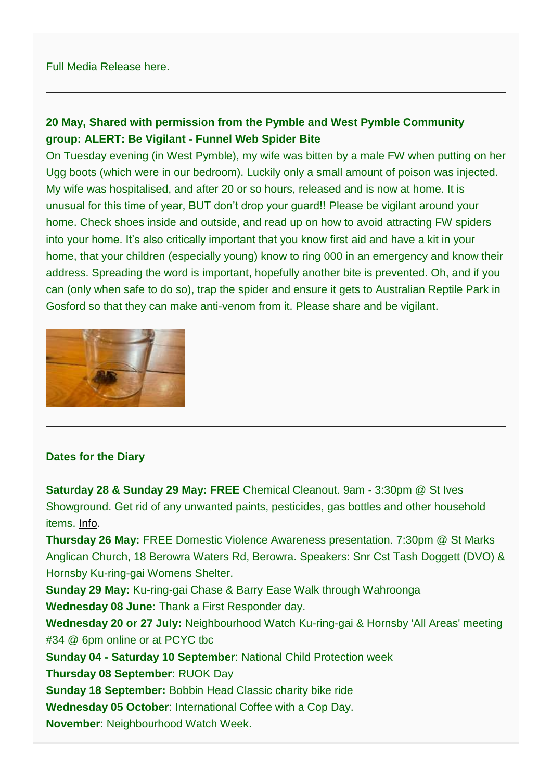# **20 May, Shared with permission from the Pymble and West Pymble Community group: ALERT: Be Vigilant - Funnel Web Spider Bite**

On Tuesday evening (in West Pymble), my wife was bitten by a male FW when putting on her Ugg boots (which were in our bedroom). Luckily only a small amount of poison was injected. My wife was hospitalised, and after 20 or so hours, released and is now at home. It is unusual for this time of year, BUT don't drop your guard!! Please be vigilant around your home. Check shoes inside and outside, and read up on how to avoid attracting FW spiders into your home. It's also critically important that you know first aid and have a kit in your home, that your children (especially young) know to ring 000 in an emergency and know their address. Spreading the word is important, hopefully another bite is prevented. Oh, and if you can (only when safe to do so), trap the spider and ensure it gets to Australian Reptile Park in Gosford so that they can make anti-venom from it. Please share and be vigilant.



#### **Dates for the Diary**

**Saturday 28 & Sunday 29 May: FREE** Chemical Cleanout. 9am - 3:30pm @ St Ives Showground. Get rid of any unwanted paints, pesticides, gas bottles and other household items. [Info.](https://www.krg.nsw.gov.au/Things-to-do/Whats-on/Chemical-CleanOut?)

**Thursday 26 May:** FREE Domestic Violence Awareness presentation. 7:30pm @ St Marks Anglican Church, 18 Berowra Waters Rd, Berowra. Speakers: Snr Cst Tash Doggett (DVO) & Hornsby Ku-ring-gai Womens Shelter.

**Sunday 29 May:** Ku-ring-gai Chase & Barry Ease Walk through Wahroonga

**Wednesday 08 June:** Thank a First Responder day.

**Wednesday 20 or 27 July:** Neighbourhood Watch Ku-ring-gai & Hornsby 'All Areas' meeting #34 @ 6pm online or at PCYC tbc

**Sunday 04 - Saturday 10 September**: National Child Protection week

**Thursday 08 September**: RUOK Day

**Sunday 18 September:** Bobbin Head Classic charity bike ride

**Wednesday 05 October**: International Coffee with a Cop Day.

**November**: Neighbourhood Watch Week.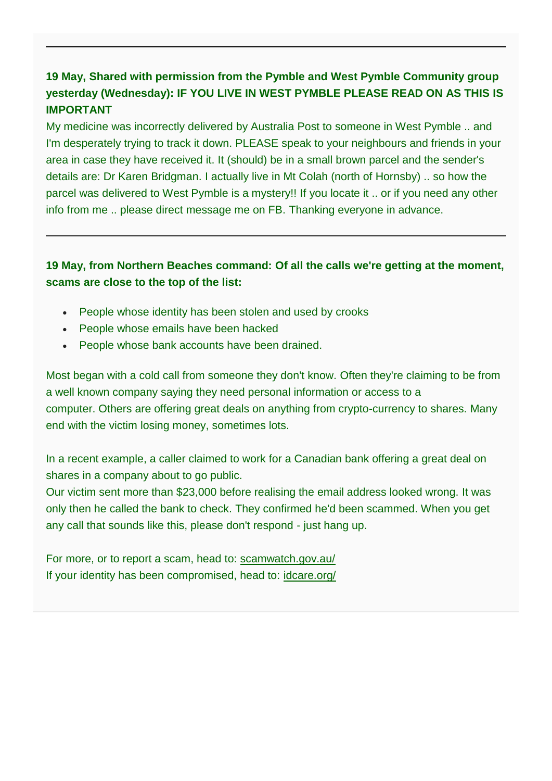# **19 May, Shared with permission from the Pymble and West Pymble Community group yesterday (Wednesday): IF YOU LIVE IN WEST PYMBLE PLEASE READ ON AS THIS IS IMPORTANT**

My medicine was incorrectly delivered by Australia Post to someone in West Pymble .. and I'm desperately trying to track it down. PLEASE speak to your neighbours and friends in your area in case they have received it. It (should) be in a small brown parcel and the sender's details are: Dr Karen Bridgman. I actually live in Mt Colah (north of Hornsby) .. so how the parcel was delivered to West Pymble is a mystery!! If you locate it .. or if you need any other info from me .. please direct message me on FB. Thanking everyone in advance.

# **19 May, from Northern Beaches command: Of all the calls we're getting at the moment, scams are close to the top of the list:**

- People whose identity has been stolen and used by crooks
- People whose emails have been hacked
- People whose bank accounts have been drained.

Most began with a cold call from someone they don't know. Often they're claiming to be from a well known company saying they need personal information or access to a computer. Others are offering great deals on anything from crypto-currency to shares. Many end with the victim losing money, sometimes lots.

In a recent example, a caller claimed to work for a Canadian bank offering a great deal on shares in a company about to go public.

Our victim sent more than \$23,000 before realising the email address looked wrong. It was only then he called the bank to check. They confirmed he'd been scammed. When you get any call that sounds like this, please don't respond - just hang up.

For more, or to report a scam, head to: [scamwatch.gov.au/](https://www.scamwatch.gov.au/) If your identity has been compromised, head to: [idcare.org/](https://www.idcare.org/)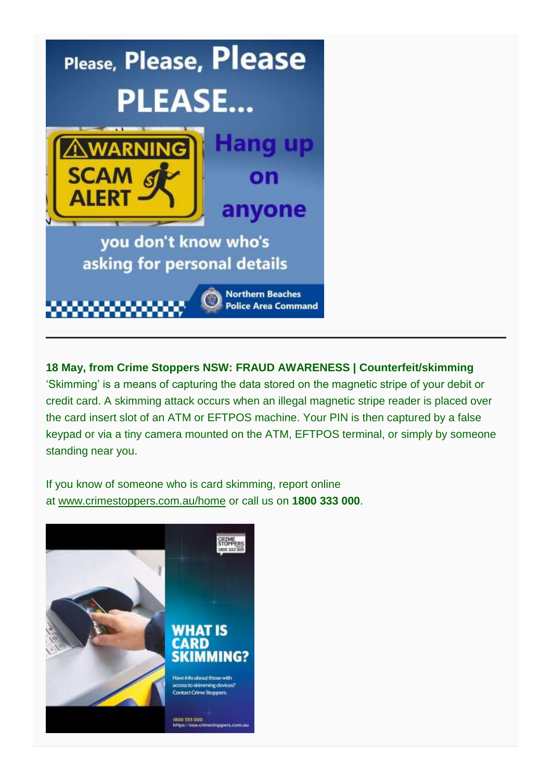

**18 May, from Crime Stoppers NSW: FRAUD AWARENESS | Counterfeit/skimming** 'Skimming' is a means of capturing the data stored on the magnetic stripe of your debit or credit card. A skimming attack occurs when an illegal magnetic stripe reader is placed over the card insert slot of an ATM or EFTPOS machine. Your PIN is then captured by a false keypad or via a tiny camera mounted on the ATM, EFTPOS terminal, or simply by someone standing near you.

If you know of someone who is card skimming, report online at [www.crimestoppers.com.au/home](http://www.crimestoppers.com.au/home) or call us on **1800 333 000**.

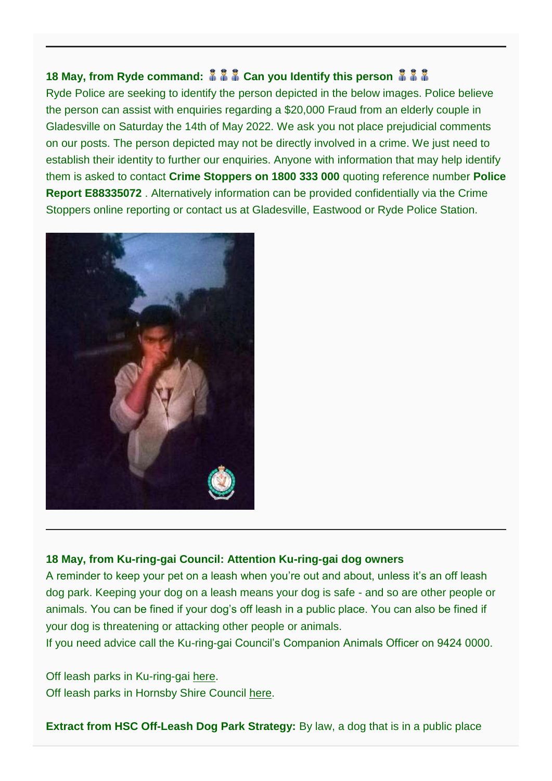# **18 May, from Ryde command:**  $\frac{2}{3}$  $\frac{2}{3}$  **Can you Identify this person**  $\frac{2}{3}$  $\frac{2}{3}$

Ryde Police are seeking to identify the person depicted in the below images. Police believe the person can assist with enquiries regarding a \$20,000 Fraud from an elderly couple in Gladesville on Saturday the 14th of May 2022. We ask you not place prejudicial comments on our posts. The person depicted may not be directly involved in a crime. We just need to establish their identity to further our enquiries. Anyone with information that may help identify them is asked to contact **Crime Stoppers on 1800 333 000** quoting reference number **Police Report E88335072** . Alternatively information can be provided confidentially via the Crime Stoppers online reporting or contact us at Gladesville, Eastwood or Ryde Police Station.



# **18 May, from Ku-ring-gai Council: Attention Ku-ring-gai dog owners**

A reminder to keep your pet on a leash when you're out and about, unless it's an off leash dog park. Keeping your dog on a leash means your dog is safe - and so are other people or animals. You can be fined if your dog's off leash in a public place. You can also be fined if your dog is threatening or attacking other people or animals.

If you need advice call the Ku-ring-gai Council's Companion Animals Officer on 9424 0000.

Off leash parks in Ku-ring-gai [here.](https://bit.ly/3l8tNq4) Off leash parks in Hornsby Shire Council [here.](https://www.hornsby.nsw.gov.au/property/myproperty/pets/off-leash-dog-areas)

**Extract from HSC Off-Leash Dog Park Strategy:** By law, a dog that is in a public place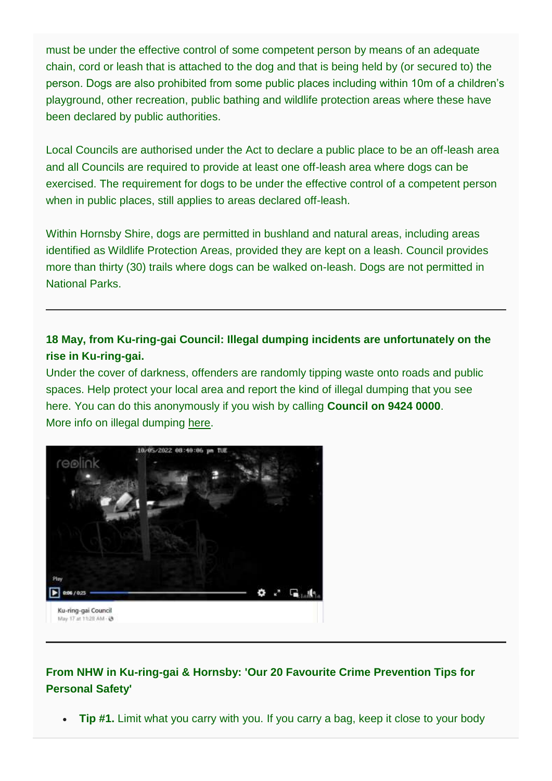must be under the effective control of some competent person by means of an adequate chain, cord or leash that is attached to the dog and that is being held by (or secured to) the person. Dogs are also prohibited from some public places including within 10m of a children's playground, other recreation, public bathing and wildlife protection areas where these have been declared by public authorities.

Local Councils are authorised under the Act to declare a public place to be an off-leash area and all Councils are required to provide at least one off-leash area where dogs can be exercised. The requirement for dogs to be under the effective control of a competent person when in public places, still applies to areas declared off-leash.

Within Hornsby Shire, dogs are permitted in bushland and natural areas, including areas identified as Wildlife Protection Areas, provided they are kept on a leash. Council provides more than thirty (30) trails where dogs can be walked on-leash. Dogs are not permitted in National Parks.

# **18 May, from Ku-ring-gai Council: Illegal dumping incidents are unfortunately on the rise in Ku-ring-gai.**

Under the cover of darkness, offenders are randomly tipping waste onto roads and public spaces. Help protect your local area and report the kind of illegal dumping that you see here. You can do this anonymously if you wish by calling **Council on 9424 0000**. More info on illegal dumping [here.](https://bit.ly/3Ni6qqd)



# **From NHW in Ku-ring-gai & Hornsby: 'Our 20 Favourite Crime Prevention Tips for Personal Safety'**

• **Tip #1.** Limit what you carry with you. If you carry a bag, keep it close to your body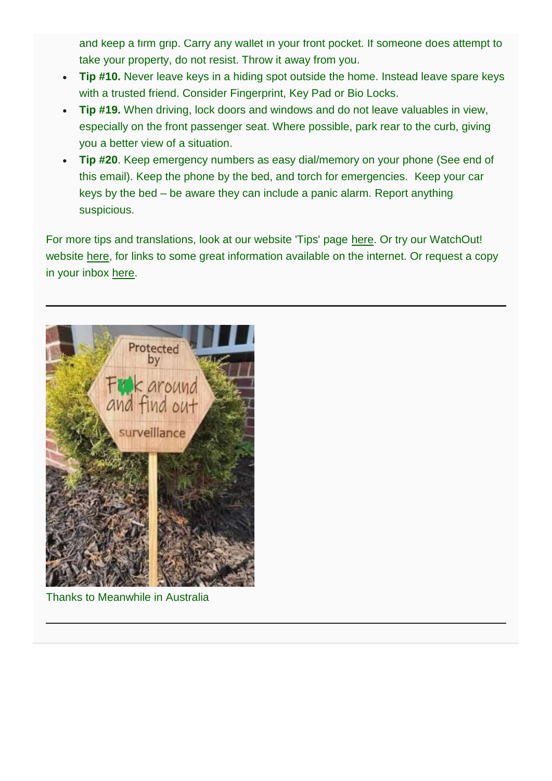and keep a firm grip. Carry any wallet in your front pocket. If someone does attempt to take your property, do not resist. Throw it away from you.

- **Tip #10.** Never leave keys in a hiding spot outside the home. Instead leave spare keys with a trusted friend. Consider Fingerprint, Key Pad or Bio Locks.
- **Tip #19.** When driving, lock doors and windows and do not leave valuables in view, especially on the front passenger seat. Where possible, park rear to the curb, giving you a better view of a situation.
- **Tip #20**. Keep emergency numbers as easy dial/memory on your phone (See end of this email). Keep the phone by the bed, and torch for emergencies. Keep your car keys by the bed – be aware they can include a panic alarm. Report anything suspicious.

For more tips and translations, look at our website 'Tips' page [here.](https://nhwkuringgaihornsby.us2.list-manage.com/track/click?u=76e5dc9a91946a6f3d7f0da9d&id=3c03d0a5ce&e=0905caa587) Or try our WatchOut! website [here,](https://nhwkuringgaihornsby.us2.list-manage.com/track/click?u=76e5dc9a91946a6f3d7f0da9d&id=3e5b447a1f&e=0905caa587) for links to some great information available on the internet. Or request a copy in your inbox [here.](mailto:NHWKuringgaiHornsby@gmail.com?subject=20%20Tips%20Homes%20pls)



Thanks to Meanwhile in Australia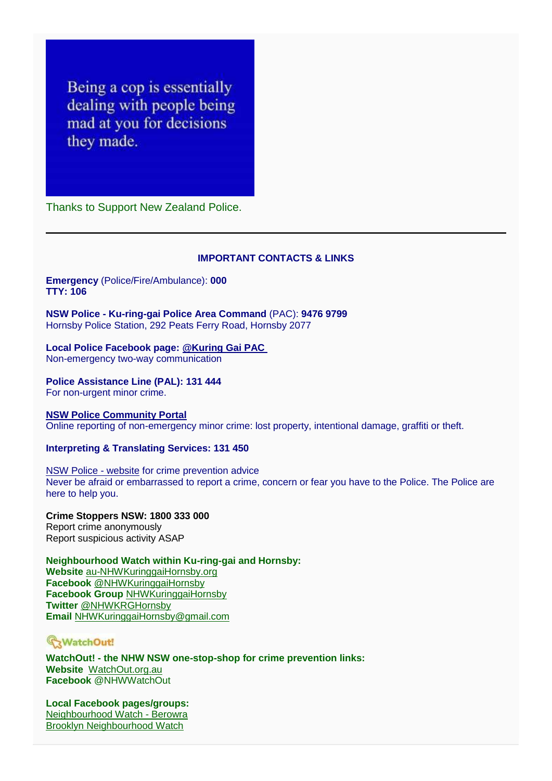Being a cop is essentially dealing with people being mad at you for decisions they made.

Thanks to Support New Zealand Police.

#### **IMPORTANT CONTACTS & LINKS**

#### **Emergency** (Police/Fire/Ambulance): **000 TTY: 106**

**NSW Police - Ku-ring-gai Police Area Command** (PAC): **9476 9799** Hornsby Police Station, 292 Peats Ferry Road, Hornsby 2077

# **Local Police Facebook page: [@Kuring Gai PAC](https://www.facebook.com/KuringGaiPAC)**

Non-emergency two-way communication

#### **Police Assistance Line (PAL): 131 444** For non-urgent minor crime.

#### **[NSW Police Community Portal](https://www.police.nsw.gov.au/community_portal/home)**

Online reporting of non-emergency minor crime: lost property, intentional damage, graffiti or theft.

#### **Interpreting & Translating Services: 131 450**

[NSW Police -](https://www.police.nsw.gov.au/) website for crime prevention advice Never be afraid or embarrassed to report a crime, concern or fear you have to the Police. The Police are here to help you.

**Crime Stoppers NSW: 1800 333 000** Report crime anonymously Report suspicious activity ASAP

**Neighbourhood Watch within Ku-ring-gai and Hornsby: Website** [au-NHWKuringgaiHornsby.org](http://au-nhwkuringgaihornsby.org/) **Facebook** [@NHWKuringgaiHornsby](https://www.facebook.com/NHWKuringgaiHornsby) **Facebook Group** [NHWKuringgaiHornsby](https://www.facebook.com/groups/NHWKuringgaiHornsby) **Twitter** [@NHWKRGHornsby](https://twitter.com/NHWKRGHornsby) **Email** [NHWKuringgaiHornsby@gmail.com](mailto:NHWKuringgaiHornsby@gmail.com)

# WatchOut!

**WatchOut! - the NHW NSW one-stop-shop for crime prevention links: Website** [WatchOut.org.au](http://watchout.org.au/) **Facebook** @NHWWatchOut

**Local Facebook pages/groups:** [Neighbourhood Watch -](https://www.facebook.com/NHWBerowra) Berowra [Brooklyn Neighbourhood Watch](https://www.facebook.com/NHWBrooklyn)